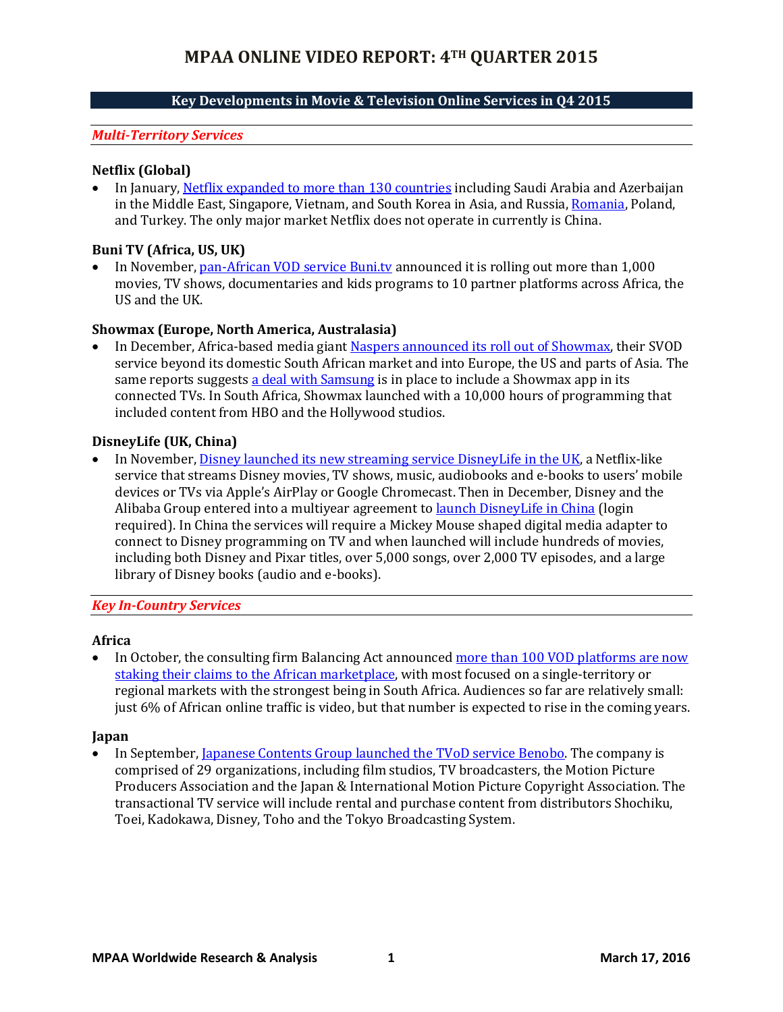# **Key Developments in Movie & Television Online Services in Q4 2015**

#### *Multi-Territory Services*

#### **Netflix (Global)**

 In January, [Netflix expanded to more than 130 countries](http://www.forbes.com/sites/briansolomon/2016/01/06/netflix-launches-in-india-russia-and-130-other-new-countries) including Saudi Arabia and Azerbaijan in the Middle East, Singapore, Vietnam, and South Korea in Asia, and Russia, [Romania,](http://www.euractiv.com/sections/digital/netflix-finally-launch-legally-romania-320771) Poland, and Turkey. The only major market Netflix does not operate in currently is China.

#### **Buni TV (Africa, US, UK)**

 In November, [pan-African VOD service Buni.tv](http://variety.com/2015/tv/global/buni-tv-rolls-out-partner-platforms-in-africa-u-s-and-u-k) announced it is rolling out more than 1,000 movies, TV shows, documentaries and kids programs to 10 partner platforms across Africa, the US and the UK.

## **Showmax (Europe, North America, Australasia)**

 In December, Africa-based media giant [Naspers announced its roll](http://www.digitaltveurope.net/469472/naspers-samsung-tipped-to-take-on-netflix/) out of Showmax, their SVOD service beyond its domestic South African market and into Europe, the US and parts of Asia. The same reports suggests [a deal with Samsung](http://www.balancingact-africa.com/news/broadcast/issue-no2027/broadcast/naspers-said-to-plan/bc) is in place to include a Showmax app in its connected TVs. In South Africa, Showmax launched with a 10,000 hours of programming that included content from HBO and the Hollywood studios.

#### **DisneyLife (UK, China)**

In November, [Disney launched its new streaming service DisneyLife](http://techcrunch.com/2015/11/23/disneylife-disneys-new-streaming-service-for-movies-tv-music-and-more-goes-live/) in the UK, a Netflix-like service that streams Disney movies, TV shows, music, audiobooks and e-books to users' mobile devices or TVs via Apple's AirPlay or Google Chromecast. Then in December, Disney and the Alibaba Group entered into a multiyear agreement to [launch DisneyLife in China](https://technology.ihs.com/569089/disney-partners-with-alibaba-to-launch-disneylife-in-china) (login required). In China the services will require a Mickey Mouse shaped digital media adapter to connect to Disney programming on TV and when launched will include hundreds of movies, including both Disney and Pixar titles, over 5,000 songs, over 2,000 TV episodes, and a large library of Disney books (audio and e-books).

#### *Key In-Country Services*

#### **Africa**

 In October, the consulting firm Balancing Act announced [more than 100 VOD platforms are now](http://variety.com/2015/tv/markets-festivals/video-on-demand-race-heats-up-in-africa-1201629230/)  [staking their claims to the African marketplace,](http://variety.com/2015/tv/markets-festivals/video-on-demand-race-heats-up-in-africa-1201629230/) with most focused on a single-territory or regional markets with the strongest being in South Africa. Audiences so far are relatively small: just 6% of African online traffic is video, but that number is expected to rise in the coming years.

#### **Japan**

In September, Japanese Contents Group [launched the TVoD service Benobo.](https://technology.ihs.com/545182/bonobo-rights-holders-to-operate-new-tvod-service-in-japan-during-q4-2015) The company is comprised of 29 organizations, including film studios, TV broadcasters, the Motion Picture Producers Association and the Japan & International Motion Picture Copyright Association. The transactional TV service will include rental and purchase content from distributors Shochiku, Toei, Kadokawa, Disney, Toho and the Tokyo Broadcasting System.